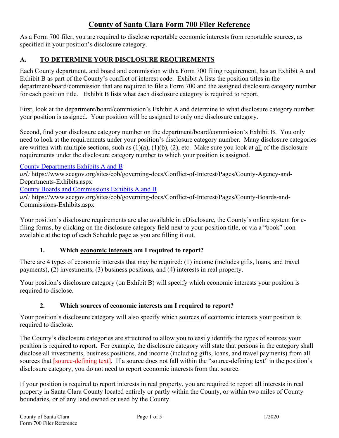# **County of Santa Clara Form 700 Filer Reference**

As a Form 700 filer, you are required to disclose reportable economic interests from reportable sources, as specified in your position's disclosure category.

## **A. TO DETERMINE YOUR DISCLOSURE REQUIREMENTS**

Each County department, and board and commission with a Form 700 filing requirement, has an Exhibit A and Exhibit B as part of the County's conflict of interest code. Exhibit A lists the position titles in the department/board/commission that are required to file a Form 700 and the assigned disclosure category number for each position title. Exhibit B lists what each disclosure category is required to report.

First, look at the department/board/commission's Exhibit A and determine to what disclosure category number your position is assigned. Your position will be assigned to only one disclosure category.

Second, find your disclosure category number on the department/board/commission's Exhibit B. You only need to look at the requirements under your position's disclosure category number. Many disclosure categories are written with multiple sections, such as  $(1)(a)$ ,  $(1)(b)$ ,  $(2)$ , etc. Make sure you look at all of the disclosure requirements under the disclosure category number to which your position is assigned.

[County Departments Exhibits A and B](https://www.sccgov.org/sites/cob/governing-docs/Conflict-of-Interest/Pages/County-Agency-and-Departments-Exhibits.aspx)

*url:* https://www.sccgov.org/sites/cob/governing-docs/Conflict-of-Interest/Pages/County-Agency-and-Departments-Exhibits.aspx

[County Boards and Commissions Exhibits A and B](https://www.sccgov.org/sites/cob/governing-docs/Conflict-of-Interest/Pages/County-Boards-and-Commissions-Exhibits.aspx)

*url:* https://www.sccgov.org/sites/cob/governing-docs/Conflict-of-Interest/Pages/County-Boards-and-Commissions-Exhibits.aspx

Your position's disclosure requirements are also available in eDisclosure, the County's online system for efiling forms, by clicking on the disclosure category field next to your position title, or via a "book" icon available at the top of each Schedule page as you are filling it out.

### **1. Which economic interests am I required to report?**

There are 4 types of economic interests that may be required: (1) income (includes gifts, loans, and travel payments), (2) investments, (3) business positions, and (4) interests in real property.

Your position's disclosure category (on Exhibit B) will specify which economic interests your position is required to disclose.

### **2. Which sources of economic interests am I required to report?**

Your position's disclosure category will also specify which sources of economic interests your position is required to disclose.

The County's disclosure categories are structured to allow you to easily identify the types of sources your position is required to report. For example, the disclosure category will state that persons in the category shall disclose all investments, business positions, and income (including gifts, loans, and travel payments) from all sources that [source-defining text]. If a source does not fall within the "source-defining text" in the position's disclosure category, you do not need to report economic interests from that source.

If your position is required to report interests in real property, you are required to report all interests in real property in Santa Clara County located entirely or partly within the County, or within two miles of County boundaries, or of any land owned or used by the County.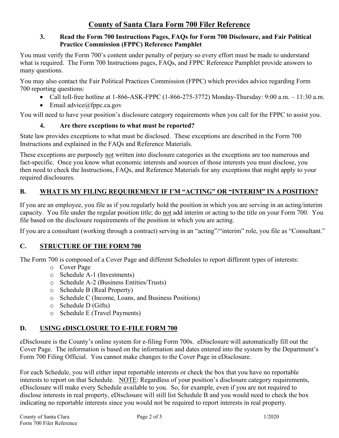### **3. Read the Form 700 Instructions Pages, FAQs for Form 700 Disclosure, and Fair Political Practice Commission (FPPC) Reference Pamphlet**

You must verify the Form 700's content under penalty of perjury so every effort must be made to understand what is required. The Form 700 Instructions pages, FAQs, and FPPC Reference Pamphlet provide answers to many questions.

You may also contact the Fair Political Practices Commission (FPPC) which provides advice regarding Form 700 reporting questions:

- Call toll-free hotline at 1-866-ASK-FPPC (1-866-275-3772) Monday-Thursday: 9:00 a.m. 11:30 a.m.
- Email advice $@$ fppc.ca.gov

You will need to have your position's disclosure category requirements when you call for the FPPC to assist you.

## **4. Are there exceptions to what must be reported?**

State law provides exceptions to what must be disclosed. These exceptions are described in the Form 700 Instructions and explained in the FAQs and Reference Materials.

These exceptions are purposely not written into disclosure categories as the exceptions are too numerous and fact-specific. Once you know what economic interests and sources of those interests you must disclose, you then need to check the Instructions, FAQs, and Reference Materials for any exceptions that might apply to your required disclosures.

## **B. WHAT IS MY FILING REQUIREMENT IF I'M "ACTING" OR "INTERIM" IN A POSITION?**

If you are an employee, you file as if you regularly hold the position in which you are serving in an acting/interim capacity. You file under the regular position title; do not add interim or acting to the title on your Form 700. You file based on the disclosure requirements of the position in which you are acting.

If you are a consultant (working through a contract) serving in an "acting"/"interim" role, you file as "Consultant."

### **C. STRUCTURE OF THE FORM 700**

The Form 700 is composed of a Cover Page and different Schedules to report different types of interests:

- o Cover Page
- o Schedule A-1 (Investments)
- o Schedule A-2 (Business Entities/Trusts)
- o Schedule B (Real Property)
- o Schedule C (Income, Loans, and Business Positions)
- o Schedule D (Gifts)
- o Schedule E (Travel Payments)

### **D. USING eDISCLOSURE TO E-FILE FORM 700**

eDisclosure is the County's online system for e-filing Form 700s. eDisclosure will automatically fill out the Cover Page. The information is based on the information and dates entered into the system by the Department's Form 700 Filing Official. You cannot make changes to the Cover Page in eDisclosure.

For each Schedule, you will either input reportable interests or check the box that you have no reportable interests to report on that Schedule. NOTE: Regardless of your position's disclosure category requirements, eDisclosure will make every Schedule available to you. So, for example, even if you are not required to disclose interests in real property, eDisclosure will still list Schedule B and you would need to check the box indicating no reportable interests since you would not be required to report interests in real property.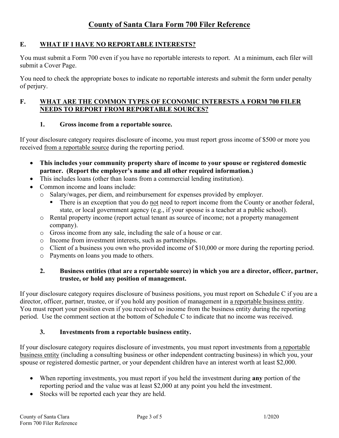# **County of Santa Clara Form 700 Filer Reference**

#### **E. WHAT IF I HAVE NO REPORTABLE INTERESTS?**

You must submit a Form 700 even if you have no reportable interests to report. At a minimum, each filer will submit a Cover Page.

You need to check the appropriate boxes to indicate no reportable interests and submit the form under penalty of perjury.

#### **F. WHAT ARE THE COMMON TYPES OF ECONOMIC INTERESTS A FORM 700 FILER NEEDS TO REPORT FROM REPORTABLE SOURCES?**

#### **1. Gross income from a reportable source.**

If your disclosure category requires disclosure of income, you must report gross income of \$500 or more you received from a reportable source during the reporting period.

- **This includes your community property share of income to your spouse or registered domestic partner. (Report the employer's name and all other required information.)**
- This includes loans (other than loans from a commercial lending institution).
- Common income and loans include:
	- o Salary/wages, per diem, and reimbursement for expenses provided by employer.
		- There is an exception that you do not need to report income from the County or another federal, state, or local government agency (e.g., if your spouse is a teacher at a public school).
	- o Rental property income (report actual tenant as source of income; not a property management company).
	- o Gross income from any sale, including the sale of a house or car.
	- o Income from investment interests, such as partnerships.
	- o Client of a business you own who provided income of \$10,000 or more during the reporting period.
	- o Payments on loans you made to others.

#### **2. Business entities (that are a reportable source) in which you are a director, officer, partner, trustee, or hold any position of management.**

If your disclosure category requires disclosure of business positions, you must report on Schedule C if you are a director, officer, partner, trustee, or if you hold any position of management in a reportable business entity. You must report your position even if you received no income from the business entity during the reporting period. Use the comment section at the bottom of Schedule C to indicate that no income was received.

#### **3. Investments from a reportable business entity.**

If your disclosure category requires disclosure of investments, you must report investments from a reportable business entity (including a consulting business or other independent contracting business) in which you, your spouse or registered domestic partner, or your dependent children have an interest worth at least \$2,000.

- When reporting investments, you must report if you held the investment during **any** portion of the reporting period and the value was at least \$2,000 at any point you held the investment.
- Stocks will be reported each year they are held.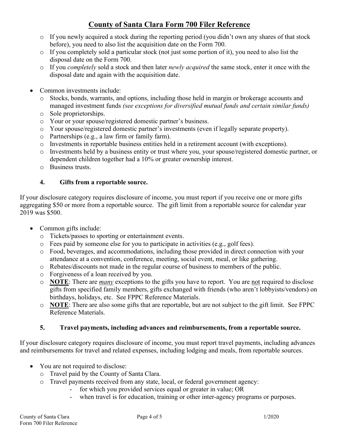# **County of Santa Clara Form 700 Filer Reference**

- $\circ$  If you newly acquired a stock during the reporting period (you didn't own any shares of that stock before), you need to also list the acquisition date on the Form 700.
- o If you completely sold a particular stock (not just some portion of it), you need to also list the disposal date on the Form 700.
- o If you *completely* sold a stock and then later *newly acquired* the same stock, enter it once with the disposal date and again with the acquisition date.
- Common investments include:
	- o Stocks, bonds, warrants, and options, including those held in margin or brokerage accounts and managed investment funds *(see exceptions for diversified mutual funds and certain similar funds)*
	- o Sole proprietorships.
	- o Your or your spouse/registered domestic partner's business.
	- o Your spouse/registered domestic partner's investments (even if legally separate property).
	- o Partnerships (e.g., a law firm or family farm).
	- o Investments in reportable business entities held in a retirement account (with exceptions).
	- o Investments held by a business entity or trust where you, your spouse/registered domestic partner, or dependent children together had a 10% or greater ownership interest.
	- o Business trusts.

### **4. Gifts from a reportable source.**

If your disclosure category requires disclosure of income, you must report if you receive one or more gifts aggregating \$50 or more from a reportable source. The gift limit from a reportable source for calendar year 2019 was \$500.

- Common gifts include:
	- o Tickets/passes to sporting or entertainment events.
	- o Fees paid by someone else for you to participate in activities (e.g., golf fees).
	- o Food, beverages, and accommodations, including those provided in direct connection with your attendance at a convention, conference, meeting, social event, meal, or like gathering.
	- o Rebates/discounts not made in the regular course of business to members of the public.
	- o Forgiveness of a loan received by you.
	- o **NOTE**: There are *many* exceptions to the gifts you have to report. You are not required to disclose gifts from specified family members, gifts exchanged with friends (who aren't lobbyists/vendors) on birthdays, holidays, etc. See FPPC Reference Materials.
	- o **NOTE**: There are also some gifts that are reportable, but are not subject to the gift limit. See FPPC Reference Materials.

#### **5. Travel payments, including advances and reimbursements, from a reportable source.**

If your disclosure category requires disclosure of income, you must report travel payments, including advances and reimbursements for travel and related expenses, including lodging and meals, from reportable sources.

- You are not required to disclose:
	- o Travel paid by the County of Santa Clara.
	- o Travel payments received from any state, local, or federal government agency:
		- for which you provided services equal or greater in value; OR
		- when travel is for education, training or other inter-agency programs or purposes.